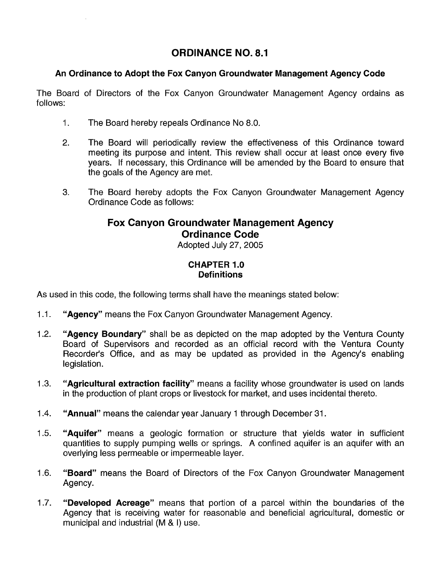# **ORDINANCE NO. 8.1**

## **An Ordinance to Adopt the Fox Canyon Groundwater Management Agency Code**

The Board of Directors of the Fox Canyon Groundwater Management Agency ordains as follows:

- 1. The Board hereby repeals Ordinance No 8.0.
- 2. The Board will periodically review the effectiveness of this Ordinance toward meeting its purpose and intent. This review shall occur at least once every five years. If necessary, this Ordinance will be amended by the Board to ensure that the goals of the Agency are met.
- 3. The Board hereby adopts the Fox Canyon Groundwater Management Agency Ordinance Code as follows:

# **Fox Canyon Groundwater Management Agency Ordinance Code**

Adopted July 27, 2005

## **CHAPTER 1.0 Definitions**

As used in this code, the following terms shall have the meanings stated below:

- 1.1. **"Agency"** means the Fox Canyon Groundwater Management Agency.
- 1.2. **"Agency Boundary"** shall be as depicted on the map adopted by the Ventura County Board of Supervisors and recorded as an official record with the Ventura County Recorder's Office, and as may be updated as provided in the Agency's enabling legislation.
- 1.3. **"Agricultural extraction facility"** means a facility whose groundwater is used on lands in the production of plant crops or livestock for market, and uses incidental thereto.
- 1.4. **"Annual"** means the calendar year January 1 through December 31.
- 1.5. **"Aquifer"** means a geologic formation or structure that yields water in sufficient quantities to supply pumping wells or springs. A confined aquifer is an aquifer with an overlying less permeable or impermeable layer.
- 1.6. **"Board"** means the Board of Directors of the Fox Canyon Groundwater Management Agency.
- 1.7. **"Developed Acreage"** means that portion of a parcel within the boundaries of the Agency that is receiving water for reasonable and beneficial agricultural, domestic or municipal and industrial (M & I) use.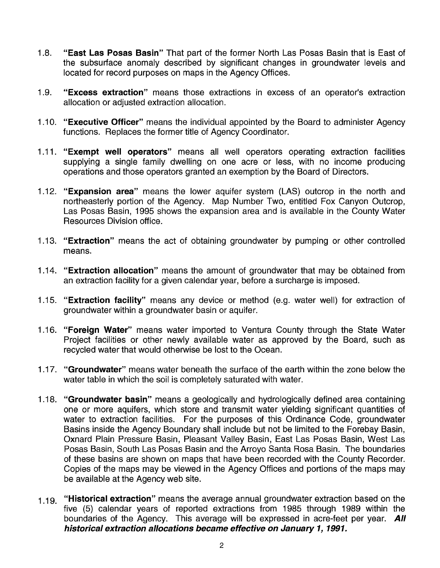- 1.8. **"East Las Posas Basin"** That part of the former North Las Posas Basin that is East of the subsurface anomaly described by significant changes in groundwater levels and located for record purposes on maps in the Agency Offices.
- 1.9. **"Excess extraction"** means those extractions in excess of an operator's extraction allocation or adjusted extraction allocation.
- 1 .10. **"Executive Officer"** means the individual appointed by the Board to administer Agency functions. Replaces the former title of Agency Coordinator.
- 1.11. **"Exempt well operators"** means all well operators operating extraction facilities supplying a single family dwelling on one acre or less, with no income producing operations and those operators granted an exemption by the Board of Directors.
- 1.12. **"Expansion area"** means the lower aquifer system (LAS) outcrop in the north and northeasterly portion of the Agency. Map Number Two, entitled Fox Canyon Outcrop, Las Posas Basin, 1995 shows the expansion area and is available in the County Water Resources Division office.
- 1.13. **"Extraction"** means the act of obtaining groundwater by pumping or other controlled means.
- 1 .14. **"Extraction allocation"** means the amount of groundwater that may be obtained from an extraction facility for a given calendar year, before a surcharge is imposed.
- 1.15. **"Extraction facility"** means any device or method (e.g. water well) for extraction of groundwater within a groundwater basin or aquifer.
- 1.16. **"Foreign Water"** means water imported to Ventura County through the State Water Project facilities or other newly available water as approved by the Board, such as recycled water that would otherwise be lost to the Ocean.
- 1 .17. **"Groundwater"** means water beneath the surface of the earth within the zone below the water table in which the soil is completely saturated with water.
- 1 .18. **"Groundwater basin"** means a geologically and hydrologically defined area containing one or more aquifers, which store and transmit water yielding significant quantities of water to extraction facilities. For the purposes of this Ordinance Code, groundwater Basins inside the Agency Boundary shall include but not be limited to the Forebay Basin, Oxnard Plain Pressure Basin, Pleasant Valley Basin, East Las Posas Basin, West Las Posas Basin, South Las Posas Basin and the Arroyo Santa Rosa Basin. The boundaries of these basins are shown on maps that have been recorded with the County Recorder. Copies of the maps may be viewed in the Agency Offices and portions of the maps may be available at the Agency web site.
- 1.19. **"Historical extraction"** means the average annual groundwater extraction based on the five (5) calendar years of reported extractions from 1985 through 1989 within the boundaries of the Agency. This average will be expressed in acre-feet per year. **All historical extraction allocations became effective on January 1, 1991.**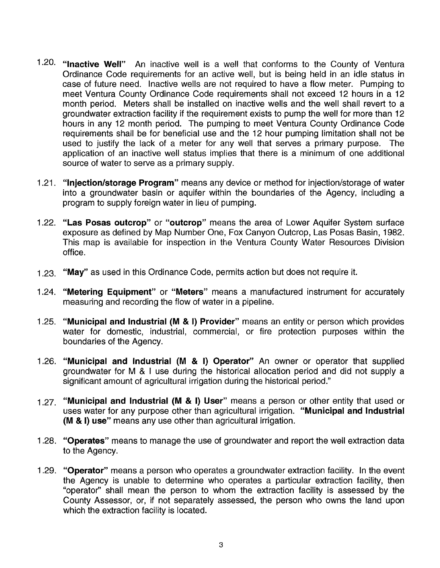- 1.20. "Inactive Well" An inactive well is a well that conforms to the County of Ventura Ordinance Code requirements for an active well, but is being held in an idle status in case of future need. Inactive wells are not required to have a flow meter. Pumping to meet Ventura County Ordinance Code requirements shall not exceed 12 hours in a 12 month period. Meters shall be installed on inactive wells and the well shall revert to a groundwater extraction facility if the requirement exists to pump the well for more than 12 hours in any 12 month period. The pumping to meet Ventura County Ordinance Code requirements shall be for beneficial use and the 12 hour pumping limitation shall not be used to justify the lack of a meter for any well that serves a primary purpose. The application of an inactive well status implies that there is a minimum of one additional source of water to serve as a primary supply.
- 1.21. "Injection/storage Program" means any device or method for injection/storage of water into a groundwater basin or aquifer within the boundaries of the Agency, including a program to supply foreign water in lieu of pumping.
- 1.22. "Las Posas outcrop" or "outcrop" means the area of Lower Aquifer System surface exposure as defined by Map Number One, Fox Canyon Outcrop, Las Posas Basin, 1982. This map is available for inspection in the Ventura County Water Resources Division office.
- 1.23. "May" as used in this Ordinance Code, permits action but does not require it.
- 1.24. "Metering Equipment" or "Meters" means a manufactured instrument for accurately measuring and recording the flow of water in a pipeline.
- 1 .25. "Municipal and Industrial (M & I) Provider" means an entity or person which provides water for domestic, industrial, commercial, or fire protection purposes within the boundaries of the Agency.
- 1 .26. "Municipal and Industrial (M & I) Operator" An owner or operator that supplied groundwater for M & I use during the historical allocation period and did not supply a significant amount of agricultural irrigation during the historical period."
- 1.27. "Municipal and Industrial (M & I) User" means a person or other entity that used or uses water for any purpose other than agricultural irrigation. "Municipal and Industrial (M & I) use" means any use other than agricultural irrigation.
- 1.28. "Operates" means to manage the use of groundwater and report the well extraction data to the Agency.
- 1.29. "Operator" means a person who operates a groundwater extraction facility. In the event the Agency is unable to determine who operates a particular extraction facility, then "operator" shall mean the person to whom the extraction facility is assessed by the County Assessor, or, if not separately assessed, the person who owns the land upon which the extraction facility is located.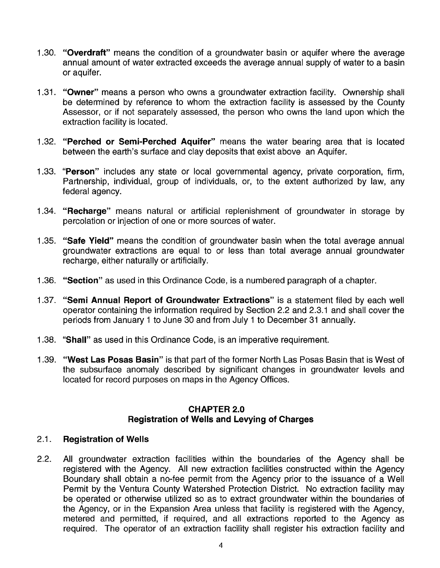- 1.30. "Overdraft" means the condition of a groundwater basin or aquifer where the average annual amount of water extracted exceeds the average annual supply of water to a basin or aquifer.
- 1.31. "Owner" means a person who owns a groundwater extraction facility. Ownership shall be determined by reference to whom the extraction facility is assessed by the County Assessor, or if not separately assessed, the person who owns the land upon which the extraction facility is located.
- 1.32. "Perched or Semi-Perched Aquifer" means the water bearing area that is located between the earth's surface and clay deposits that exist above an Aquifer.
- 1.33. "Person" includes any state or local governmental agency, private corporation, firm, Partnership, individual, group of individuals, or, to the extent authorized by law, any federal agency.
- 1.34. "Recharge" means natural or artificial replenishment of groundwater in storage by percolation or injection of one or more sources of water.
- 1.35. "Safe Yield" means the condition of groundwater basin when the total average annual groundwater extractions are equal to or less than total average annual groundwater recharge, either naturally or artificially.
- 1.36. "Section" as used in this Ordinance Code, is a numbered paragraph of a chapter.
- 1.37. "Semi Annual Report of Groundwater Extractions" is a statement filed by each well operator containing the information required by Section 2.2 and 2.3.1 and shall cover the periods from January 1 to June 30 and from July 1 to December 31 annually.
- 1.38. "Shall" as used in this Ordinance Code, is an imperative requirement.
- 1.39. "West Las Posas Basin" is that part of the former North Las Posas Basin that is West of the subsurface anomaly described by significant changes in groundwater levels and located for record purposes on maps in the Agency Offices.

## CHAPTER 2.0 Registration of Wells and Levying of Charges

## 2.1. Registration of Wells

2.2. All groundwater extraction facilities within the boundaries of the Agency shall be registered with the Agency. All new extraction facilities constructed within the Agency Boundary shall obtain a no-fee permit from the Agency prior to the issuance of a Well Permit by the Ventura County Watershed Protection District. No extraction facility may be operated or otherwise utilized so as to extract groundwater within the boundaries of the Agency, or in the Expansion Area unless that facility is registered with the Agency, metered and permitted, if required, and all extractions reported to the Agency as required. The operator of an extraction facility shall register his extraction facility and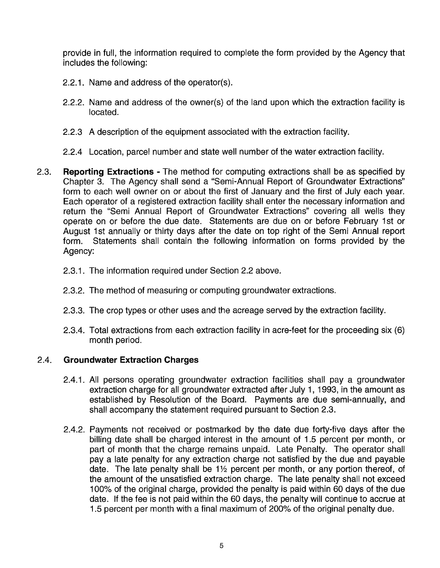provide in full, the information required to complete the form provided by the Agency that includes the following:

- 2.2.1. Name and address of the operator(s).
- 2.2.2. Name and address of the owner(s) of the land upon which the extraction facility is located.
- 2.2.3 A description of the equipment associated with the extraction facility.
- 2.2.4 Location, parcel number and state well number of the water extraction facility.
- 2.3. **Reporting Extractions**  The method for computing extractions shall be as specified by Chapter 3. The Agency shall send a "Semi-Annual Report of Groundwater Extractions" form to each well owner on or about the first of January and the first of July each year. Each operator of a registered extraction facility shall enter the necessary information and return the "Semi Annual Report of Groundwater Extractions" covering all wells they operate on or before the due date. Statements are due on or before February 1st or August 1st annually or thirty days after the date on top right of the Semi Annual report form. Statements shall contain the following information on forms provided by the Agency:
	- 2.3.1. The information required under Section 2.2 above.
	- 2.3.2. The method of measuring or computing groundwater extractions.
	- 2.3.3. The crop types or other uses and the acreage served by the extraction facility.
	- 2.3.4. Total extractions from each extraction facility in acre-feet for the proceeding six (6) month period.

# 2.4. **Groundwater Extraction Charges**

- 2.4.1. All persons operating groundwater extraction facilities shall pay a groundwater extraction charge for all groundwater extracted after July 1, 1993, in the amount as established by Resolution of the Board. Payments are due semi-annually, and shall accompany the statement required pursuant to Section 2.3.
- 2.4.2. Payments not received or postmarked by the date due forty-five days after the billing date shall be charged interest in the amount of 1.5 percent per month, or part of month that the charge remains unpaid. Late Penalty. The operator shall pay a late penalty for any extraction charge not satisfied by the due and payable date. The late penalty shall be  $1\frac{1}{2}$  percent per month, or any portion thereof, of the amount of the unsatisfied extraction charge. The late penalty shall not exceed 100% of the original charge, provided the penalty is paid within 60 days of the due date. If the fee is not paid within the 60 days, the penalty will continue to accrue at 1.5 percent per month with a final maximum of 200% of the original penalty due.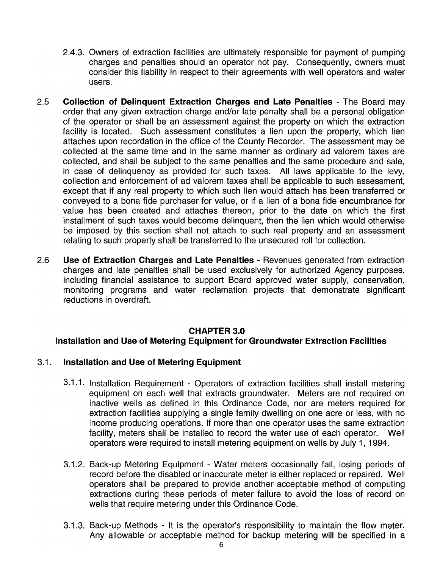- 2.4.3. Owners of extraction facilities are ultimately responsible for payment of pumping charges and penalties should an operator not pay. Consequently, owners must consider this liability in respect to their agreements with well operators and water users.
- 2.5 **Collection of Delinquent Extraction Charges and Late Penalties**  The Board may order that any given extraction charge and/or late penalty shall be a personal obligation of the operator or shall be an assessment against the property on which the extraction facility is located. Such assessment constitutes a lien upon the property, which lien attaches upon recordation in the office of the County Recorder. The assessment may be collected at the same time and in the same manner as ordinary ad valorem taxes are collected, and shall be subject to the same penalties and the same procedure and sale, in case of delinquency as provided for such taxes. All laws applicable to the levy, collection and enforcement of ad valorem taxes shall be applicable to such assessment, except that if any real property to which such lien would attach has been transferred or conveyed to a bona fide purchaser for value, or if a lien of a bona fide encumbrance for value has been created and attaches thereon, prior to the date on which the first installment of such taxes would become delinquent, then the lien which would otherwise be imposed by this section shall not attach to such real property and an assessment relating to such property shall be transferred to the unsecured roll for collection.
- 2.6 **Use of Extraction Charges and Late Penalties**  Revenues generated from extraction charges and late penalties shall be used exclusively for authorized Agency purposes, including financial assistance to support Board approved water supply, conservation, monitoring programs and water reclamation projects that demonstrate significant reductions in overdraft.

#### **CHAPTER 3.0**

#### **Installation and Use of Metering Equipment for Groundwater Extraction Facilities**

#### 3.1 . **Installation and Use of Metering Equipment**

- 3.1.1. Installation Requirement Operators of extraction facilities shall install metering equipment on each well that extracts groundwater. Meters are not required on inactive wells as defined in this Ordinance Code, nor are meters required for extraction facilities supplying a single family dwelling on one acre or less, with no income producing operations. If more than one operator uses the same extraction facility, meters shall be installed to record the water use of each operator. Well operators were required to install metering equipment on wells by July 1, 1994.
- 3.1.2. Back-up Metering Equipment Water meters occasionally fail, losing periods of record before the disabled or inaccurate meter is either replaced or repaired. Well operators shall be prepared to provide another acceptable method of computing extractions during these periods of meter failure to avoid the loss of record on wells that require metering under this Ordinance Code.
- 3.1.3. Back-up Methods It is the operator's responsibility to maintain the flow meter. Any allowable or acceptable method for backup metering will be specified in a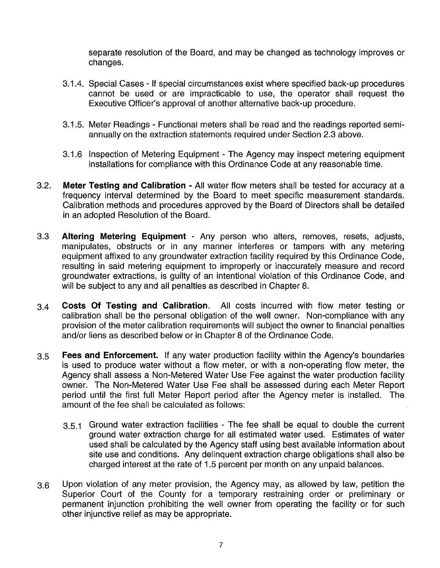separate resolution of the Board, and may be changed as technology improves or changes.

- 3.1.4. Special Cases If special circumstances exist where specified back-up procedures cannot be used or are impracticable to use, the operator shall request the Executive Officer's approval of another alternative back-up procedure.
- 3.1.5. Meter Readings Functional meters shall be read and the readings reported semiannually on the extraction statements required under Section 2.3 above.
- 3.1.6 Inspection of Metering Equipment The Agency may inspect metering equipment installations for compliance with this Ordinance Code at any reasonable time.
- 3.2. **Meter Testing and Calibration -** All water flow meters shall be tested for accuracy at a frequency interval determined by the Board to meet specific measurement standards. Calibration methods and procedures approved by the Board of Directors shall be detailed in an adopted Resolution of the Board.
- 3.3 **Altering Metering Equipment**  Any person who alters, removes, resets, adjusts, manipulates, obstructs or in any manner interferes or tampers with any metering equipment affixed to any groundwater extraction facility required by this Ordinance Code, resulting in said metering equipment to improperly or inaccurately measure and record groundwater extractions, is guilty of an intentional violation of this Ordinance Code, and will be subject to any and all penalties as described in Chapter 8.
- 3.4 **Costs Of Testing and Calibration.** All costs incurred with flow meter testing or calibration shall be the personal obligation of the well owner. Non-compliance with any provision of the meter calibration requirements will subject the owner to financial penalties and/or liens as described below or in Chapter 8 of the Ordinance Code.
- 3.5 **Fees and Enforcement.** If any water production facility within the Agency's boundaries is used to produce water without a flow meter, or with a non-operating flow meter, the Agency shall assess a Non-Metered Water Use Fee against the water production facility owner. The Non-Metered Water Use Fee shall be assessed during each Meter Report period until the first full Meter Report period after the Agency meter is installed. The amount of the fee shall be calculated as follows:
	- 3.5.1 Ground water extraction facilities The fee shall be equal to double the current ground water extraction charge for all estimated water used. Estimates of water used shall be calculated by the Agency staff using best available information about site use and conditions. Any delinquent extraction charge obligations shall also be charged interest at the rate of 1.5 percent per month on any unpaid balances.
- 3.6 Upon violation of any meter provision, the Agency may, as allowed by law, petition the Superior Court of the County for a temporary restraining order or preliminary or permanent injunction prohibiting the well owner from operating the facility or for such other injunctive relief as may be appropriate.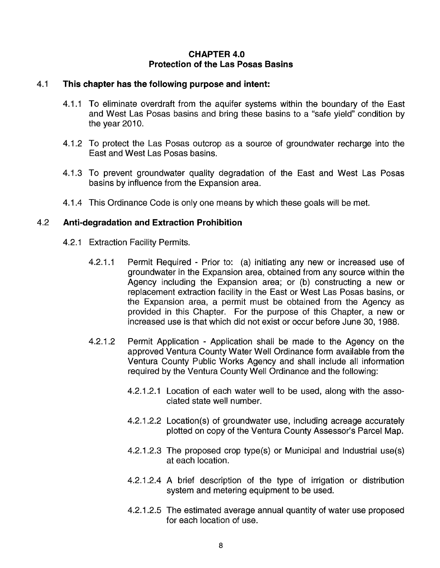## **CHAPTER 4.0 Protection of the Las Posas Basins**

#### 4.1 **This chapter has the following purpose and intent:**

- 4.1.1 To eliminate overdraft from the aquifer systems within the boundary of the East and West Las Posas basins and bring these basins to a "safe yield" condition by the year 2010.
- 4.1.2 To protect the Las Posas outcrop as a source of groundwater recharge into the East and West Las Posas basins.
- 4.1.3 To prevent groundwater quality degradation of the East and West Las Posas basins by influence from the Expansion area.
- 4.1.4 This Ordinance Code is only one means by which these goals will be met.

#### 4.2 **Anti-degradation and Extraction Prohibition**

- 4.2.1 Extraction Facility Permits.
	- 4.2.1.1 Permit Required Prior to: (a) initiating any new or increased use of groundwater in the Expansion area, obtained from any source within the Agency including the Expansion area; or (b) constructing a new or replacement extraction facility in the East or West Las Posas basins, or the Expansion area, a permit must be obtained from the Agency as provided in this Chapter. For the purpose of this Chapter, a new or increased use is that which did not exist or occur before June 30, 1988.
	- 4.2.1.2 Permit Application Application shall be made to the Agency on the approved Ventura County Water Well Ordinance form available from the Ventura County Public Works Agency and shall include all information required by the Ventura County Well Ordinance and the following:
		- 4.2.1.2.1 Location of each water well to be used, along with the associated state well number.
		- 4.2.1.2.2 Location(s) of groundwater use, including acreage accurately plotted on copy of the Ventura County Assessor's Parcel Map.
		- 4.2.1.2.3 The proposed crop type(s) or Municipal and Industrial use(s) at each location.
		- 4.2.1.2.4 A brief description of the type of irrigation or distribution system and metering equipment to be used.
		- 4.2.1.2.5 The estimated average annual quantity of water use proposed for each location of use.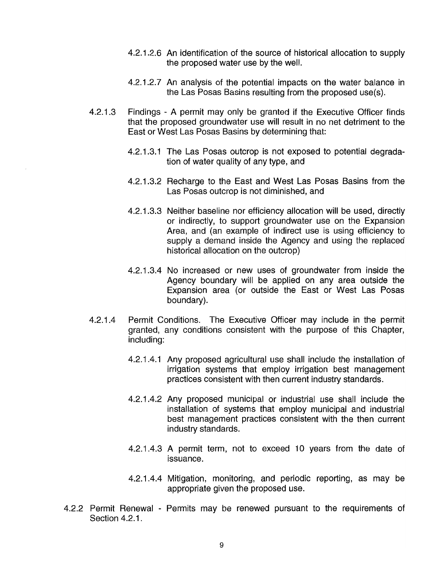- 4.2.1.2.6 An identification of the source of historical allocation to supply the proposed water use by the well.
- 4.2.1 .2.7 An analysis of the potential impacts on the water balance in the Las Posas Basins resulting from the proposed use(s).
- 4.2.1.3 Findings A permit may only be granted if the Executive Officer finds that the proposed groundwater use will result in no net detriment to the East or West Las Posas Basins by determining that:
	- 4.2.1 .3.1 The Las Posas outcrop is not exposed to potential degradation of water quality of any type, and
	- 4.2.1.3.2 Recharge to the East and West Las Posas Basins from the Las Posas outcrop is not diminished, and
	- 4.2.1.3.3 Neither baseline nor efficiency allocation will be used, directly or indirectly, to support groundwater use on the Expansion Area, and (an example of indirect use is using efficiency to supply a demand inside the Agency and using the replaced historical allocation on the outcrop)
	- 4.2.1 .3.4 No increased or new uses of groundwater from inside the Agency boundary will be applied on any area outside the Expansion area (or outside the East or West Las Posas boundary).
- 4.2.1.4 Permit Conditions. The Executive Officer may include in the permit granted, any conditions consistent with the purpose of this Chapter, including:
	- 4.2.1 .4.1 Any proposed agricultural use shall include the installation of irrigation systems that employ irrigation best management practices consistent with then current industry standards.
	- 4.2.1.4.2 Any proposed municipal or industrial use shall include the installation of systems that employ municipal and industrial best management practices consistent with the then current industry standards.
	- 4.2.1.4.3 A permit term, not to exceed 10 years from the date of issuance.
	- 4.2.1.4.4 Mitigation, monitoring, and periodic reporting, as may be appropriate given the proposed use.
- 4.2.2 Permit Renewal Permits may be renewed pursuant to the requirements of Section 4.2.1.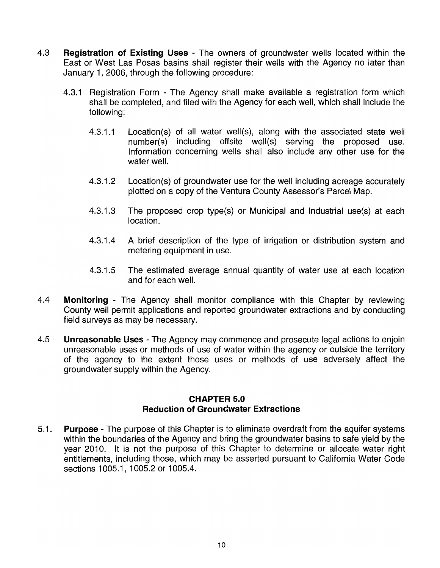- 4.3 **Registration of Existing Uses**  The owners of groundwater wells located within the East or West Las Posas basins shall register their wells with the Agency no later than January 1, 2006, through the following procedure:
	- 4.3.1 Registration Form The Agency shall make available a registration form which shall be completed, and filed with the Agency for each well, which shall include the following:
		- 4.3.1.1 Location(s) of all water well(s), along with the associated state well number(s) including offsite well(s) serving the proposed use. Information concerning wells shall also include any other use for the water well.
		- 4.3.1.2 Location(s) of groundwater use for the well including acreage accurately plotted on a copy of the Ventura County Assessor's Parcel Map.
		- 4.3.1.3 The proposed crop type(s) or Municipal and Industrial use(s) at each location.
		- 4.3.1.4 A brief description of the type of irrigation or distribution system and metering equipment in use.
		- 4.3.1 .5 The estimated average annual quantity of water use at each location and for each well.
- 4.4 **Monitoring**  The Agency shall monitor compliance with this Chapter by reviewing County well permit applications and reported groundwater extractions and by conducting field surveys as may be necessary.
- 4.5 **Unreasonable Uses**  The Agency may commence and prosecute legal actions to enjoin unreasonable uses or methods of use of water within the agency or outside the territory of the agency to the extent those uses or methods of use adversely affect the groundwater supply within the Agency.

#### **CHAPTER 5.0 Reduction of Groundwater Extractions**

5.1. **Purpose** - The purpose of this Chapter is to eliminate overdraft from the aquifer systems within the boundaries of the Agency and bring the groundwater basins to safe yield by the year 2010. It is not the purpose of this Chapter to determine or allocate water right entitlements, including those, which may be asserted pursuant to California Water Code sections 1005.1, 1005.2 or 1005.4.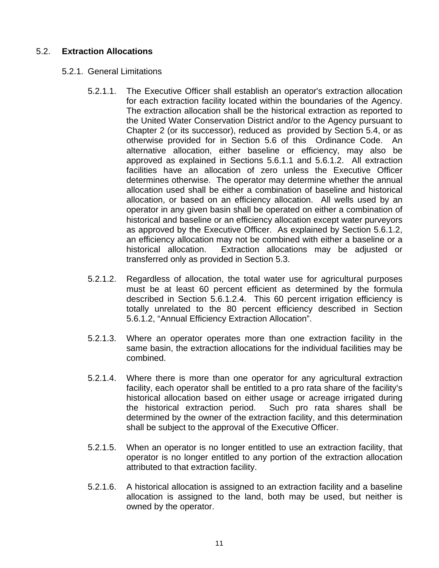## 5.2. **Extraction Allocations**

- 5.2.1. General Limitations
	- 5.2.1.1. The Executive Officer shall establish an operator's extraction allocation for each extraction facility located within the boundaries of the Agency. The extraction allocation shall be the historical extraction as reported to the United Water Conservation District and/or to the Agency pursuant to Chapter 2 (or its successor), reduced as provided by Section 5.4, or as otherwise provided for in Section 5.6 of this Ordinance Code. An alternative allocation, either baseline or efficiency, may also be approved as explained in Sections 5.6.1.1 and 5.6.1.2. All extraction facilities have an allocation of zero unless the Executive Officer determines otherwise.The operator may determine whether the annual allocation used shall be either a combination of baseline and historical allocation, or based on an efficiency allocation. All wells used by an operator in any given basin shall be operated on either a combination of historical and baseline or an efficiency allocation except water purveyors as approved by the Executive Officer. As explained by Section 5.6.1.2, an efficiency allocation may not be combined with either a baseline or a historical allocation. Extraction allocations may be adjusted or transferred only as provided in Section 5.3.
	- 5.2.1.2. Regardless of allocation, the total water use for agricultural purposes must be at least 60 percent efficient as determined by the formula described in Section 5.6.1.2.4. This 60 percent irrigation efficiency is totally unrelated to the 80 percent efficiency described in Section 5.6.1.2, "Annual Efficiency Extraction Allocation".
	- 5.2.1.3. Where an operator operates more than one extraction facility in the same basin, the extraction allocations for the individual facilities may be combined.
	- 5.2.1.4. Where there is more than one operator for any agricultural extraction facility, each operator shall be entitled to a pro rata share of the facility's historical allocation based on either usage or acreage irrigated during the historical extraction period. Such pro rata shares shall be determined by the owner of the extraction facility, and this determination shall be subject to the approval of the Executive Officer.
	- 5.2.1.5. When an operator is no longer entitled to use an extraction facility, that operator is no longer entitled to any portion of the extraction allocation attributed to that extraction facility.
	- 5.2.1.6. A historical allocation is assigned to an extraction facility and a baseline allocation is assigned to the land, both may be used, but neither is owned by the operator.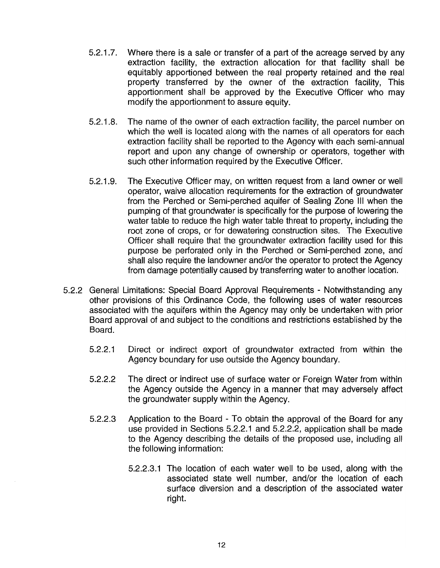- 5.2.1.7. Where there is a sale or transfer of a part of the acreage served by any extraction facility, the extraction allocation for that facility shall be equitably apportioned between the real property retained and the real property transferred by the owner of the extraction facility, This apportionment shall be approved by the Executive Officer who may modify the apportionment to assure equity.
- 5.2.1 .8. The name of the owner of each extraction facility, the parcel number on which the well is located along with the names of all operators for each extraction facility shall be reported to the Agency with each semi-annual report and upon any change of ownership or operators, together with such other information required by the Executive Officer.
- 5.2.1.9. The Executive Officer may, on written request from a land owner or well operator, waive allocation requirements for the extraction of groundwater from the Perched or Semi-perched aquifer of Sealing Zone III when the pumping of that groundwater is specifically for the purpose of lowering the water table to reduce the high water table threat to property, including the root zone of crops, or for dewatering construction sites. The Executive Officer shall require that the groundwater extraction facility used for this purpose be perforated only in the Perched or Semi-perched zone, and shall also require the landowner and/or the operator to protect the Agency from damage potentially caused by transferring water to another location.
- 5.2.2 General Limitations: Special Board Approval Requirements Notwithstanding any other provisions of this Ordinance Code, the following uses of water resources associated with the aquifers within the Agency may only be undertaken with prior Board approval of and subject to the conditions and restrictions established by the Board.
	- 5.2.2.1 Direct or indirect export of groundwater extracted from within the Agency boundary for use outside the Agency boundary.
	- 5.2.2.2 The direct or indirect use of surface water or Foreign Water from within the Agency outside the Agency in a manner that may adversely affect the groundwater supply within the Agency.
	- 5.2.2.3 Application to the Board To obtain the approval of the Board for any use provided in Sections 5.2.2.1 and 5.2.2.2, application shall be made to the Agency describing the details of the proposed use, including all the following information:
		- 5.2.2.3.1 The location of each water well to be used, along with the associated state well number, and/or the location of each surface diversion and a description of the associated water right.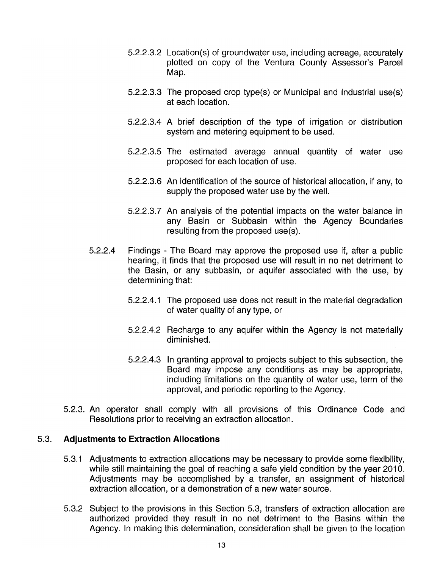- 5.2.2.3.2 Location(s) of groundwater use, including acreage, accurately plotted on copy of the Ventura County Assessor's Parcel Map.
- 5.2.2.3.3 The proposed crop type(s) or Municipal and Industrial use(s) at each location.
- 5.2.2.3.4 A brief description of the type of irrigation or distribution system and metering equipment to be used.
- 5.2.2.3.5 The estimated average annual quantity of water use proposed for each location of use.
- 5.2.2.3.6 An identification of the source of historical allocation, if any, to supply the proposed water use by the well.
- 5.2.2.3.7 An analysis of the potential impacts on the water balance in any Basin or Subbasin within the Agency Boundaries resulting from the proposed use(s).
- 5.2.2.4 Findings The Board may approve the proposed use if, after a public hearing, it finds that the proposed use will result in no net detriment to the Basin, or any subbasin, or aquifer associated with the use, by determining that:
	- 5.2.2.4.1 The proposed use does not result in the material degradation of water quality of any type, or
	- 5.2.2.4.2 Recharge to any aquifer within the Agency is not materially diminished.
	- 5.2.2.4.3 In granting approval to projects subject to this subsection, the Board may impose any conditions as may be appropriate, including limitations on the quantity of water use, term of the approval, and periodic reporting to the Agency.
- 5.2.3. An operator shall comply with all provisions of this Ordinance Code and Resolutions prior to receiving an extraction allocation.

## 5.3. **Adjustments to Extraction Allocations**

- 5.3.1 Adjustments to extraction allocations may be necessary to provide some flexibility, while still maintaining the goal of reaching a safe yield condition by the year 2010. Adjustments may be accomplished by a transfer, an assignment of historical extraction allocation, or a demonstration of a new water source.
- 5.3.2 Subject to the provisions in this Section 5.3, transfers of extraction allocation are authorized provided they result in no net detriment to the Basins within the Agency. In making this determination, consideration shall be given to the location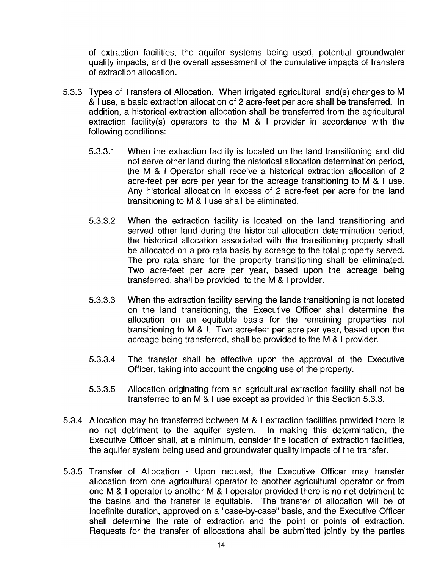of extraction facilities, the aquifer systems being used, potential groundwater quality impacts, and the overall assessment of the cumulative impacts of transfers of extraction allocation.

- 5.3.3 Types of Transfers of Allocation. When irrigated agricultural land(s) changes to M & I use, a basic extraction allocation of 2 acre-feet per acre shall be transferred. In addition, a historical extraction allocation shall be transferred from the agricultural extraction facility(s) operators to the M & I provider in accordance with the following conditions:
	- 5.3.3.1 When the extraction facility is located on the land transitioning and did not serve other land during the historical allocation determination period, the M & I Operator shall receive a historical extraction allocation of 2 acre-feet per acre per year for the acreage transitioning to M & I use. Any historical allocation in excess of 2 acre-feet per acre for the land transitioning to M & I use shall be eliminated.
	- 5.3.3.2 When the extraction facility is located on the land transitioning and served other land during the historical allocation determination period, the historical allocation associated with the transitioning property shall be allocated on a pro rata basis by acreage to the total property served. The pro rata share for the property transitioning shall be eliminated. Two acre-feet per acre per year, based upon the acreage being transferred, shall be provided to the M & I provider.
	- 5.3.3.3 When the extraction facility serving the lands transitioning is not located on the land transitioning, the Executive Officer shall determine the allocation on an equitable basis for the remaining properties not transitioning to M & I. Two acre-feet per acre per year, based upon the acreage being transferred, shall be provided to the M & I provider.
	- 5.3.3.4 The transfer shall be effective upon the approval of the Executive Officer, taking into account the ongoing use of the property.
	- 5.3.3.5 Allocation originating from an agricultural extraction facility shall not be transferred to an M & I use except as provided in this Section 5.3.3.
- 5.3.4 Allocation may be transferred between M & I extraction facilities provided there is no net detriment to the aquifer system. In making this determination, the Executive Officer shall, at a minimum, consider the location of extraction facilities, the aquifer system being used and groundwater quality impacts of the transfer.
- 5.3.5 Transfer of Allocation Upon request, the Executive Officer may transfer allocation from one agricultural operator to another agricultural operator or from one M & I operator to another M & I operator provided there is no net detriment to the basins and the transfer is equitable. The transfer of allocation will be of indefinite duration, approved on a "case-by-case" basis, and the Executive Officer shall determine the rate of extraction and the point or points of extraction. Requests for the transfer of allocations shall be submitted jointly by the parties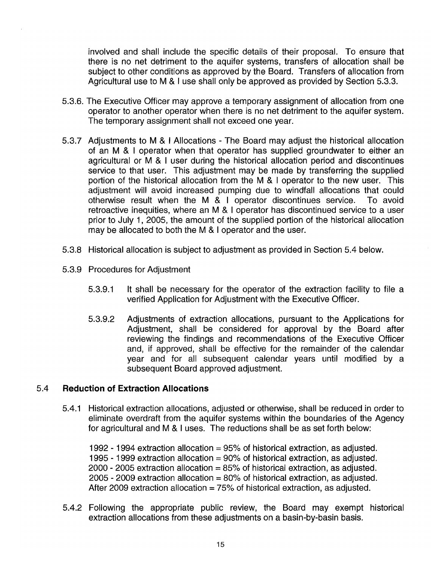involved and shall include the specific details of their proposal. To ensure that there is no net detriment to the aquifer systems, transfers of allocation shall be subject to other conditions as approved by the Board. Transfers of allocation from Agricultural use to M & I use shall only be approved as provided by Section 5.3.3.

- 5.3.6. The Executive Officer may approve a temporary assignment of allocation from one operator to another operator when there is no net detriment to the aquifer system. The temporary assignment shall not exceed one year.
- 5.3.7 Adjustments to M & I Allocations The Board may adjust the historical allocation of an M & I operator when that operator has supplied groundwater to either an agricultural or M & I user during the historical allocation period and discontinues service to that user. This adjustment may be made by transferring the supplied portion of the historical allocation from the M & I operator to the new user. This adjustment will avoid increased pumping due to windfall allocations that could otherwise result when the M & I operator discontinues service. To avoid retroactive inequities, where an M & I operator has discontinued service to a user prior to July 1, 2005, the amount of the supplied portion of the historical allocation may be allocated to both the M & I operator and the user.
- 5.3.8 Historical allocation is subject to adjustment as provided in Section 5.4 below.
- 5.3.9 Procedures for Adjustment
	- 5.3.9.1 It shall be necessary for the operator of the extraction facility to file a verified Application for Adjustment with the Executive Officer.
	- 5.3.9.2 Adjustments of extraction allocations, pursuant to the Applications for Adjustment, shall be considered for approval by the Board after reviewing the findings and recommendations of the Executive Officer and, if approved, shall be effective for the remainder of the calendar year and for all subsequent calendar years until modified by a subsequent Board approved adjustment.

#### 5.4 **Reduction of Extraction Allocations**

5.4.1 Historical extraction allocations, adjusted or otherwise, shall be reduced in order to eliminate overdraft from the aquifer systems within the boundaries of the Agency for agricultural and M & I uses. The reductions shall be as set forth below:

1992 - 1994 extraction allocation = 95% of historical extraction, as adjusted. 1995 - 1999 extraction allocation = 90% of historical extraction, as adjusted. 2000 - 2005 extraction allocation = 85% of historical extraction, as adjusted. 2005 - 2009 extraction allocation = 80% of historical extraction, as adjusted. After 2009 extraction allocation = 75% of historical extraction, as adjusted.

5.4.2 Following the appropriate public review, the Board may exempt historical extraction allocations from these adjustments on a basin-by-basin basis.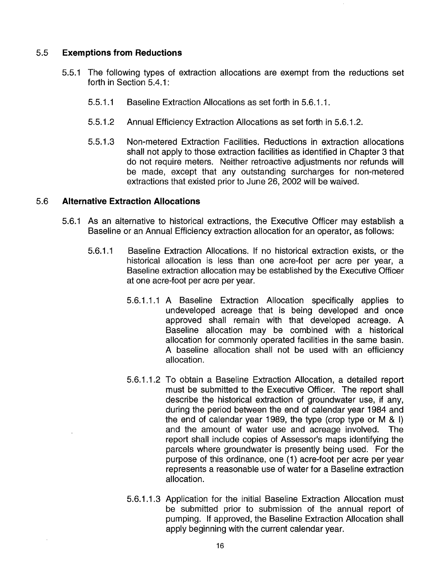#### 5.5 **Exemptions from Reductions**

- 5.5.1 The following types of extraction allocations are exempt from the reductions set forth in Section 5.4.1:
	- 5.5.1 .1 Baseline Extraction Allocations as set forth in 5.6.1.1.
	- 5.5.1 .2 Annual Efficiency Extraction Allocations as set forth in 5.6.1.2.
	- 5.5.1 .3 Non-metered Extraction Facilities. Reductions in extraction allocations shall not apply to those extraction facilities as identified in Chapter 3 that do not require meters. Neither retroactive adjustments nor refunds will be made, except that any outstanding surcharges for non-metered extractions that existed prior to June 26, 2002 will be waived.

#### 5.6 **Alternative Extraction Allocations**

- 5.6.1 As an alternative to historical extractions, the Executive Officer may establish a Baseline or an Annual Efficiency extraction allocation for an operator, as follows:
	- 5.6.1.1 Baseline Extraction Allocations. If no historical extraction exists, or the historical allocation is less than one acre-foot per acre per year, a Baseline extraction allocation may be established by the Executive Officer at one acre-foot per acre per year.
		- 5.6.1 .1.1 A Baseline Extraction Allocation specifically applies to undeveloped acreage that is being developed and once approved shall remain with that developed acreage. A Baseline allocation may be combined with a historical allocation for commonly operated facilities in the same basin. A baseline allocation shall not be used with an efficiency allocation.
		- 5.6.1.1.2 To obtain a Baseline Extraction Allocation, a detailed report must be submitted to the Executive Officer. The report shall describe the historical extraction of groundwater use, if any, during the period between the end of calendar year 1984 and the end of calendar year 1989, the type (crop type or M & I) and the amount of water use and acreage involved. The report shall include copies of Assessor's maps identifying the parcels where groundwater is presently being used. For the purpose of this ordinance, one (1) acre-foot per acre per year represents a reasonable use of water for a Baseline extraction allocation.
		- 5.6.1.1.3 Application for the initial Baseline Extraction Allocation must be submitted prior to submission of the annual report of pumping. If approved, the Baseline Extraction Allocation shall apply beginning with the current calendar year.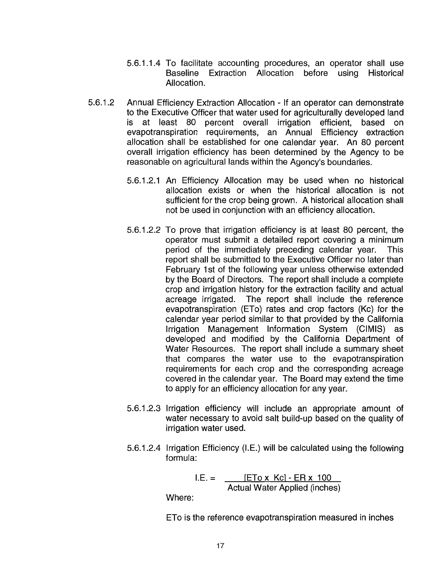- 5.6.1.1.4 To facilitate accounting procedures, an operator shall use Baseline Extraction Allocation before using Historical Allocation.
- 5.6.1.2 Annual Efficiency Extraction Allocation If an operator can demonstrate to the Executive Officer that water used for agriculturally developed land is at least 80 percent overall irrigation efficient, based on evapotranspiration requirements, an Annual Efficiency extraction allocation shall be established for one calendar year. An 80 percent overall irrigation efficiency has been determined by the Agency to be reasonable on agricultural lands within the Agency's boundaries.
	- 5.6.1.2.1 An Efficiency Allocation may be used when no historical allocation exists or when the historical allocation is not sufficient for the crop being grown. A historical allocation shall not be used in conjunction with an efficiency allocation.
	- 5.6.1.2.2 To prove that irrigation efficiency is at least 80 percent, the operator must submit a detailed report covering a minimum period of the immediately preceding calendar year. This report shall be submitted to the Executive Officer no later than February 1 st of the following year unless otherwise extended by the Board of Directors. The report shall include a complete crop and irrigation history for the extraction facility and actual acreage irrigated. The report shall include the reference evapotranspiration (ETo) rates and crop factors (Kc) for the calendar year period similar to that provided by the California Irrigation Management Information System (CIMIS) as developed and modified by the California Department of Water Resources. The report shall include a summary sheet that compares the water use to the evapotranspiration requirements for each crop and the corresponding acreage covered in the calendar year. The Board may extend the time to apply for an efficiency allocation for any year.
	- 5.6.1.2.3 Irrigation efficiency will include an appropriate amount of water necessary to avoid salt build-up based on the quality of irrigation water used.
	- 5.6.1.2.4 Irrigation Efficiency (I.E.) will be calculated using the following formula:

 $I.E. =$  [ETo x Kc] - ER x 100 Actual Water Applied (inches)

Where:

ETo is the reference evapotranspiration measured in inches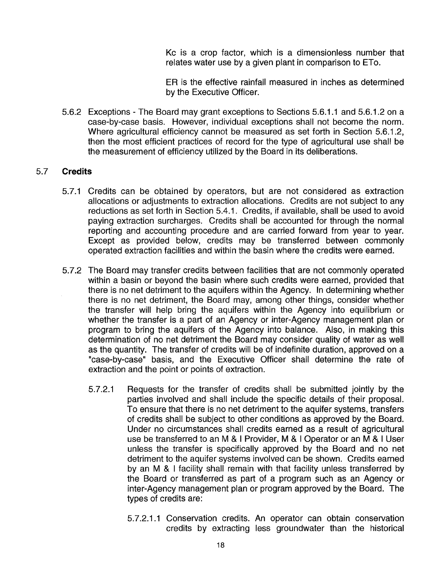Kc is a crop factor, which is a dimensionless number that relates water use by a given plant in comparison to ETo.

ER is the effective rainfall measured in inches as determined by the Executive Officer.

5.6.2 Exceptions - The Board may grant exceptions to Sections 5.6.1.1 and 5.6.1.2 on a case-by-case basis. However, individual exceptions shall not become the norm. Where agricultural efficiency cannot be measured as set forth in Section 5.6.1.2, then the most efficient practices of record for the type of agricultural use shall be the measurement of efficiency utilized by the Board in its deliberations.

## 5.7 **Credits**

- 5.7.1 Credits can be obtained by operators, but are not considered as extraction allocations or adjustments to extraction allocations. Credits are not subject to any reductions as set forth in Section 5.4.1. Credits, if available, shall be used to avoid paying extraction surcharges. Credits shall be accounted for through the normal reporting and accounting procedure and are carried forward from year to year. Except as provided below, credits may be transferred between commonly operated extraction facilities and within the basin where the credits were earned.
- 5.7.2 The Board may transfer credits between facilities that are not commonly operated within a basin or beyond the basin where such credits were earned, provided that there is no net detriment to the aquifers within the Agency. In determining whether there is no net detriment, the Board may, among other things, consider whether the transfer will help bring the aquifers within the Agency into equilibrium or whether the transfer is a part of an Agency or inter-Agency management plan or program to bring the aquifers of the Agency into balance. Also, in making this determination of no net detriment the Board may consider quality of water as well as the quantity. The transfer of credits will be of indefinite duration, approved on a "case-by-case" basis, and the Executive Officer shall determine the rate of extraction and the point or points of extraction.
	- 5.7.2.1 Requests for the transfer of credits shall be submitted jointly by the parties involved and shall include the specific details of their proposal. To ensure that there is no net detriment to the aquifer systems, transfers of credits shall be subject to other conditions as approved by the Board. Under no circumstances shall credits earned as a result of agricultural use be transferred to an M & I Provider, M & I Operator or an M & I User unless the transfer is specifically approved by the Board and no net detriment to the aquifer systems involved can be shown. Credits earned by an M & I facility shall remain with that facility unless transferred by the Board or transferred as part of a program such as an Agency or inter-Agency management plan or program approved by the Board. The types of credits are:
		- 5.7.2.1.1 Conservation credits. An operator can obtain conservation credits by extracting less groundwater than the historical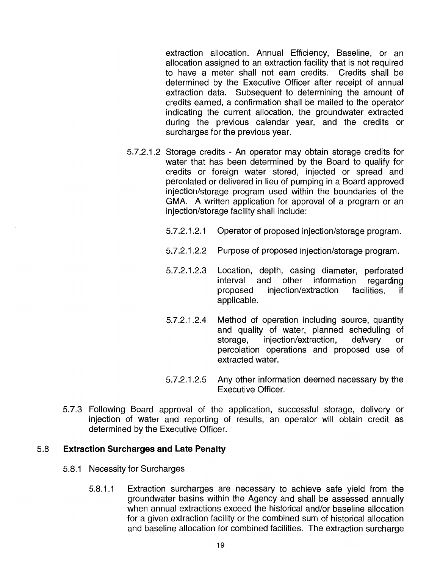extraction allocation. Annual Efficiency, Baseline, or an allocation assigned to an extraction facility that is not required to have a meter shall not earn credits. Credits shall be determined by the Executive Officer after receipt of annual extraction data. Subsequent to determining the amount of credits earned, a confirmation shall be mailed to the operator indicating the current allocation, the groundwater extracted during the previous calendar year, and the credits or surcharges for the previous year.

- 5.7.2.1.2 Storage credits An operator may obtain storage credits for water that has been determined by the Board to qualify for credits or foreign water stored, injected or spread and percolated or delivered in lieu of pumping in a Board approved injection/storage program used within the boundaries of the GMA. A written application for approval of a program or an injection/storage facility shall include:
	- 5.7.2.1.2.1 Operator of proposed injection/storage program.
	- 5.7.2.1.2.2 Purpose of proposed injection/storage program.
	- 5.7.2.1.2.3 Location, depth, casing diameter, perforated interval and other information regarding proposed injection/extraction facilities, if applicable.
	- 5.7.2.1.2.4 Method of operation including source, quantity and quality of water, planned scheduling of storage, injection/extraction, delivery or percolation operations and proposed use of extracted water.
	- 5.7.2.1.2.5 Any other information deemed necessary by the Executive Officer.
- 5.7.3 Following Board approval of the application, successful storage, delivery or injection of water and reporting of results, an operator will obtain credit as determined by the Executive Officer.

#### 5.8 **Extraction Surcharges and Late Penalty**

- 5.8.1 Necessity for Surcharges
	- 5.8.1.1 Extraction surcharges are necessary to achieve safe yield from the groundwater basins within the Agency and shall be assessed annually when annual extractions exceed the historical and/or baseline allocation for a given extraction facility or the combined sum of historical allocation and baseline allocation for combined facilities. The extraction surcharge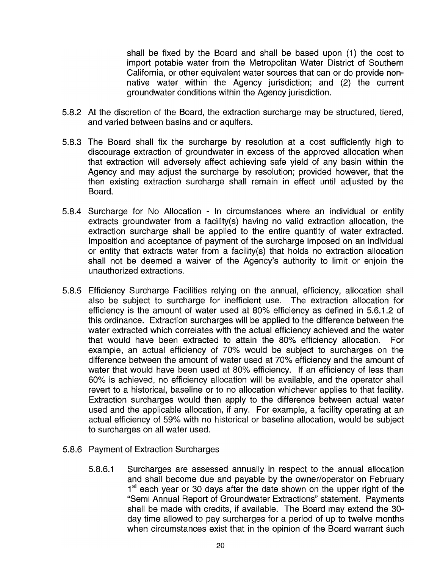shall be fixed by the Board and shall be based upon (1) the cost to import potable water from the Metropolitan Water District of Southern California, or other equivalent water sources that can or do provide nonnative water within the Agency jurisdiction; and (2) the current groundwater conditions within the Agency jurisdiction.

- 5.8.2 At the discretion of the Board, the extraction surcharge may be structured, tiered, and varied between basins and or aquifers.
- 5.8.3 The Board shall fix the surcharge by resolution at a cost sufficiently high to discourage extraction of groundwater in excess of the approved allocation when that extraction will adversely affect achieving safe yield of any basin within the Agency and may adjust the surcharge by resolution; provided however, that the then existing extraction surcharge shall remain in effect until adjusted by the Board.
- 5.8.4 Surcharge for No Allocation In circumstances where an individual or entity extracts groundwater from a facility(s) having no valid extraction allocation, the extraction surcharge shall be applied to the entire quantity of water extracted. Imposition and acceptance of payment of the surcharge imposed on an individual or entity that extracts water from a facility(s) that holds no extraction allocation shall not be deemed a waiver of the Agency's authority to limit or enjoin the unauthorized extractions.
- 5.8.5 Efficiency Surcharge Facilities relying on the annual, efficiency, allocation shall also be subject to surcharge for inefficient use. The extraction allocation for efficiency is the amount of water used at 80% efficiency as defined in 5.6.1.2 of this ordinance. Extraction surcharges will be applied to the difference between the water extracted which correlates with the actual efficiency achieved and the water that would have been extracted to attain the 80% efficiency allocation. For example, an actual efficiency of 70% would be subject to surcharges on the difference between the amount of water used at 70% efficiency and the amount of water that would have been used at 80% efficiency. If an efficiency of less than 60% is achieved, no efficiency allocation will be available, and the operator shall revert to a historical, baseline or to no allocation whichever applies to that facility. Extraction surcharges would then apply to the difference between actual water used and the applicable allocation, if any. For example, a facility operating at an actual efficiency of 59% with no historical or baseline allocation, would be subject to surcharges on all water used.
- 5.8.6 Payment of Extraction Surcharges
	- 5.8.6.1 Surcharges are assessed annually in respect to the annual allocation and shall become due and payable by the owner/operator on February 1<sup>st</sup> each year or 30 days after the date shown on the upper right of the "Semi Annual Report of Groundwater Extractions" statement. Payments shall be made with credits, if available. The Board may extend the 30 day time allowed to pay surcharges for a period of up to twelve months when circumstances exist that in the opinion of the Board warrant such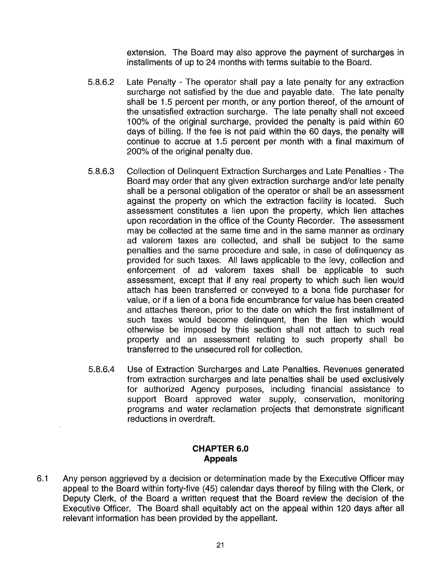extension. The Board may also approve the payment of surcharges in installments of up to 24 months with terms suitable to the Board.

- 5.8.6.2 Late Penalty The operator shall pay a late penalty for any extraction surcharge not satisfied by the due and payable date. The late penalty shall be 1.5 percent per month, or any portion thereof, of the amount of the unsatisfied extraction surcharge. The late penalty shall not exceed 100% of the original surcharge, provided the penalty is paid within 60 days of billing. If the fee is not paid within the 60 days, the penalty will continue to accrue at 1.5 percent per month with a final maximum of 200% of the original penalty due.
- 5.8.6.3 Collection of Delinquent Extraction Surcharges and Late Penalties The Board may order that any given extraction surcharge and/or late penalty shall be a personal obligation of the operator or shall be an assessment against the property on which the extraction facility is located. Such assessment constitutes a lien upon the property, which lien attaches upon recordation in the office of the County Recorder. The assessment may be collected at the same time and in the same manner as ordinary ad valorem taxes are collected, and shall be subject to the same penalties and the same procedure and sale, in case of delinquency as provided for such taxes. All laws applicable to the levy, collection and enforcement of ad valorem taxes shall be applicable to such assessment, except that if any real property to which such lien would attach has been transferred or conveyed to a bona fide purchaser for value, or if a lien of a bona fide encumbrance for value has been created and attaches thereon, prior to the date on which the first installment of such taxes would become delinquent, then the lien which would otherwise be imposed by this section shall not attach to such real property and an assessment relating to such property shall be transferred to the unsecured roll for collection.
- 5.8.6.4 Use of Extraction Surcharges and Late Penalties. Revenues generated from extraction surcharges and late penalties shall be used exclusively for authorized Agency purposes, including financial assistance to support Board approved water supply, conservation, monitoring programs and water reclamation projects that demonstrate significant reductions in overdraft.

## **CHAPTER 6.0 Appeals**

6.1 Any person aggrieved by a decision or determination made by the Executive Officer may appeal to the Board within forty-five (45) calendar days thereof by filing with the Clerk, or Deputy Clerk, of the Board a written request that the Board review the decision of the Executive Officer. The Board shall equitably act on the appeal within 120 days after all relevant information has been provided by the appellant.